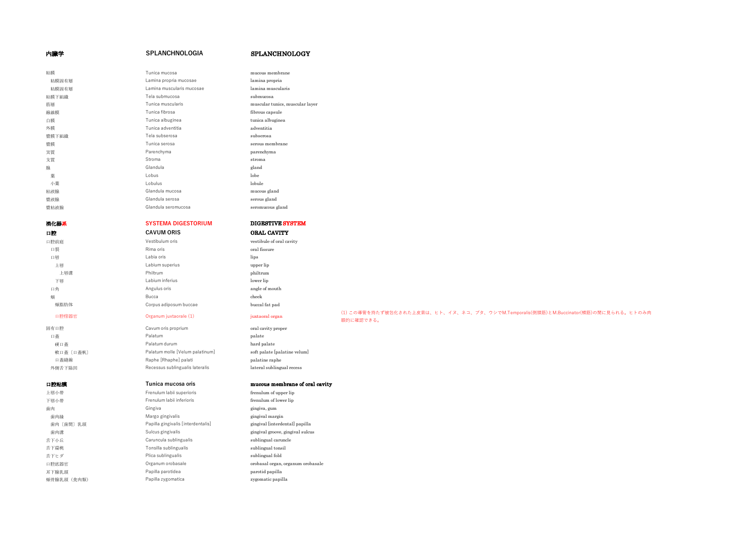## 内臓学 **SPLANCHNOLOGIA** SPLANCHNOLOGY

| 粘膜    | Tunica mucosa             | mucous membrane                 |
|-------|---------------------------|---------------------------------|
| 粘膜固有層 | Lamina propria mucosae    | lamina propria                  |
| 粘膜固有層 | Lamina muscularis mucosae | lamina muscularis               |
| 粘膜下組織 | Tela submucosa            | submucosa                       |
| 筋層    | Tunica muscularis         | muscular tunics, muscular layer |
| 線維膜   | Tunica fibrosa            | fibrous capsule                 |
| 白膜    | Tunica albuginea          | tunica albuginea                |
| 外膜    | Tunica adventitia         | adventitia                      |
| 漿膜下組織 | Tela subserosa            | subserosa                       |
| 漿膜    | Tunica serosa             | serous membrane                 |
| 実質    | Parenchyma                | parenchyma                      |
| 支質    | Stroma                    | stroma                          |
| 腺     | Glandula                  | gland                           |
| 葉     | I obus                    | lobe                            |
| 小葉    | Lobulus                   | lobule                          |
| 粘液腺   | Glandula mucosa           | mucous gland                    |
| 漿液腺   | Glandula serosa           | serous gland                    |
| 漿粘液腺  | Glandula seromucosa       | seromucous gland                |
|       |                           |                                 |

# 消化器系 **SYSTEMA DIGESTORIUM** DIGESTIVE SYSTEM **口腔 CAVUM ORIS ORAL CAVITY**

# 口腔前庭 Vestibulum oris vestibule of oral cavity 口裂 **Rima oris Community oral fissure** 口唇 **Labia oris** Labia oris lips 上唇 **Labium superius** Labium superius **upper** lip 上唇溝 Philtrum philtrum 下唇 **Labium inferius** Labium inferius **lower lip** 口角 **Angulus oris Angulus oris angle of mouth** 頰 Bucca cheek deep the book in the book of the book of the book of the book of the book of the book of the book 頰脂肪体 **Corpus adiposum buccae** buccal fat pad

固有口腔 Cavum oris proprium comments oral cavity proper 口蓋 Palatum Palatum palate palate palate in the palate of the palate in the palate of the palate in the palate 硬口蓋 **Palatum durum** hard palate hard palate 軟口蓋〔口蓋帆〕 **Palatum molle [Velum palatinum**] soft palate [palatine velum] 口蓋縫線 **Raphe [Rhaphe] palati** palati palatine raphe 外側舌下陥凹 Recessus sublingualis lateralis lateral sublingual recess

| -----       |                                    |                       |
|-------------|------------------------------------|-----------------------|
| 上唇小带        | Frenulum labii superioris          | frenulum of upper lip |
| 下唇小带        | Frenulum labii inferioris          | frenulum of lower lip |
| 歯肉          | Gingiva                            | gingiva, gum          |
| 歯肉縁         | Margo gingivalis                   | gingival margin       |
| 歯肉 [歯間] 乳頭  | Papilla gingivalis [interdentalis] | gingival [interdenta] |
| 歯肉溝         | Sulcus gingivalis                  | gingival groove, ging |
| 舌下小丘        | Caruncula sublingualis             | sublingual caruncle   |
| 舌下扁桃        | Tonsilla sublingualis              | sublingual tonsil     |
| 舌下ヒダ        | Plica sublingualis                 | sublingual fold       |
| 口腔底器官       | Organum orobasale                  | orobasal organ, orga  |
| 耳下腺乳頭       | Papilla parotidea                  | parotid papilla       |
| 超晶胞裂晶 (合成糖) | Panilla zudomatica                 | mmmatiananilla        |

### 口腔粘膜 **Tunica mucosa oris** mucous membrane of oral cavity

Frenulum labii superioris frenulum of upper lip Frenulum labii inferioris frenulum of lower lip Margo gingivalis **Margo gingival margin** Papilla gingivalis [interdentalis] [interdental] papilla Sulcus gingivalis sulcus gingival groove, gingival sulcus 口腔底器官 **Organum orobasale** organum orobasal organ, organum orobasale 頰骨腺乳頭(食肉類) Papilla zygomatica zygomatic papilla

## 口腔傍器官 Organum juxtaorale (1) juxtaoral organ (1) この導管を持たず被包化された上⽪索は、ヒト、イヌ、ネコ、ブタ、ウシでM.Temporalis(側頭筋)とM.Buccinator(頬筋)の間に⾒られる。ヒトのみ⾁ 眼的に確認できる。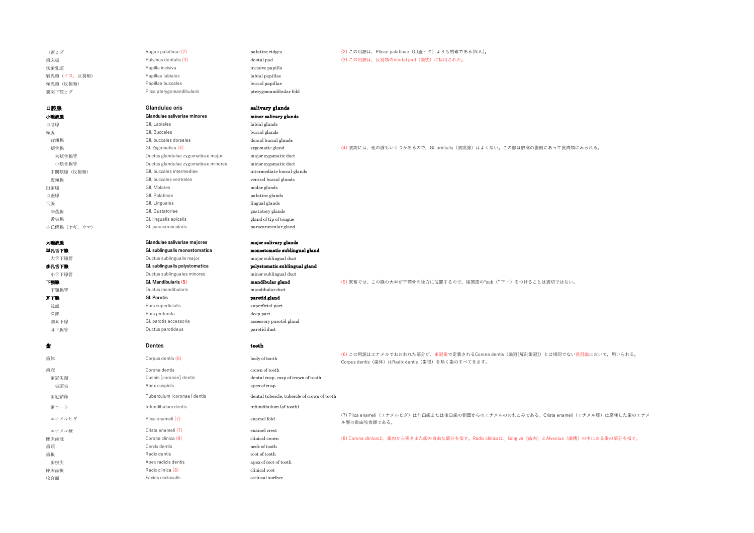| 口蓋ヒダ          | Rugae palatinae (2)                  | palatine ridges                             | (2) この用語は、Plicae palatinae (口蓋ヒダ) よりも的確である(N.A.)。                                                         |
|---------------|--------------------------------------|---------------------------------------------|-----------------------------------------------------------------------------------------------------------|
| 歯床板           | Pulvinus dentalis (3)                | dental pad                                  | (3) この用語は、反芻類のdental pad (歯枕) に採用された。                                                                     |
| 切歯乳頭          | Papilla incisiva                     | incisive papilla                            |                                                                                                           |
| 唇乳頭 (イヌ, 反芻類) | Papillae labiales                    | labial papillae                             |                                                                                                           |
| 頰乳頭 (反芻類)     | Papillae buccales                    | buccal papillae                             |                                                                                                           |
| 翼突下顎ヒダ        | Plica pterygomandibularis            | pterygomandibular fold                      |                                                                                                           |
| 口腔腺           | Glandulae oris                       | salivary glands                             |                                                                                                           |
| 小唾液腺          | Glandulae salivariae minores         | minor salivary glands                       |                                                                                                           |
| 口唇腺           | GII. Labiales                        | labial glands                               |                                                                                                           |
| 頰腺            | GII. Buccales                        | buccal glands                               |                                                                                                           |
| 背頰腺           | GII. buccales dorsales               | dorsal buccal glands                        |                                                                                                           |
| 頰骨腺           | Gl. Zygomatica (4)                   | zygomatic gland                             | (4) 眼窩には、他の腺もいくつかあるので、Gl. orbitalis (眼窩腺) はよくない。この腺は眼窩の腹側にあって食肉類にみられる。                                    |
| 大頰骨腺管         | Ductus glandulae zygomaticae major   | major zygomatic duct                        |                                                                                                           |
| 小頰骨腺管         | Ductus glandulae zygomaticae minores | minor zygomatic duct                        |                                                                                                           |
| 中間頰腺 (反芻類)    | GII. buccales intermediae            | intermediate buccal glands                  |                                                                                                           |
| 腹頰腺           | GII. buccales ventrales              | ventral buccal glands                       |                                                                                                           |
| 臼歯腺           | GII. Molares                         | molar glands                                |                                                                                                           |
| 口蓋腺           | GII. Palatinae                       | palatine glands                             |                                                                                                           |
| 舌腺            | GII. Linguales                       | lingual glands                              |                                                                                                           |
| 味蕾腺           | GII. Gustatoriae                     | gustatory glands                            |                                                                                                           |
| 舌尖腺           | Gl. lingualis apicalis               | gland of tip of tongue                      |                                                                                                           |
| 小丘傍腺 (ヤギ, ウマ) | Gl. paracaruncularis                 | paracaruncular gland                        |                                                                                                           |
| 大唾液腺          | Glandulae salivariae majores         | major salivary glands                       |                                                                                                           |
| 単孔舌下腺         | Gl. sublingualis monostomatica       | monostomatic sublingual gland               |                                                                                                           |
| 大舌下腺管         | Ductus sublingualis major            | major sublingual duct                       |                                                                                                           |
| 多孔舌下腺         | Gl. sublingualis polystomatica       | polystomatic sublingual gland               |                                                                                                           |
| 小舌下腺管         | Ductus sublinguales minores          | minor sublingual duct                       |                                                                                                           |
| 下颚腺           | Gl. Mandibularis (5)                 | mandibular gland                            | (5) 家畜では、この腺の大半が下顎骨の後方に位置するので、接頭語の"sub ("下-) をつけることは適切ではない。                                               |
| 下顎腺管          | Ductus mandibularis                  | mandibular duct                             |                                                                                                           |
| 耳下腺           | <b>Gl. Parotis</b>                   | parotid gland                               |                                                                                                           |
| 浅部            | Pars superficialis                   | superficial part                            |                                                                                                           |
| 深部            | Pars profunda                        | deep part                                   |                                                                                                           |
| 副耳下腺          | Gl. parotis accessoria               | accessory parotid gland                     |                                                                                                           |
| 耳下腺管          | Ductus parotideus                    | parotid duct                                |                                                                                                           |
|               | Dentes                               | teeth                                       |                                                                                                           |
| 歯体            | Corpus dentis (6)                    | body of tooth                               | (6) この用語はエナメルでおおわれた部分が、単冠歯で定義されるCorona dentis (歯冠[解剖歯冠]) とは相同でない長冠歯において、用いられる。                            |
| 歯冠            | Corona dentis                        | crown of tooth                              | Corpus dentis (歯体) はRadix dentis (歯根) を除く歯のすべてをさす。                                                        |
| 歯冠尖頭          | Cuspis [coronae] dentis              | dental cusp, cusp of crown of tooth         |                                                                                                           |
| 尖頭尖           | Apex cuspidis                        | apex of cusp                                |                                                                                                           |
| 歯冠結節          | Tuberculum [coronae] dentis          | dental tubercle, tubercle of crown of tooth |                                                                                                           |
| 歯ロート          | Infundibulum dentis                  | infundibulum (of tooth)                     |                                                                                                           |
| エナメルヒダ        | Plica enameli (7)                    | enamel fold                                 | (7) Plica enameli (エナメルヒダ) は前臼歯または後臼歯の側面からのエナメルのおれこみである。Crista enameli (エナメル稜) は摩耗した歯のエナメ<br>ル層の自由咬合縁である。 |
| エナメル稜         | Crista enameli (7)                   | enamel crest                                |                                                                                                           |
| 臨床歯冠          | Corona clinica (8)                   | clinical crown                              | (8) Corona clinicaは、歯肉から突き出た歯の自由な部分を指す。Radix clinicaは、Gingiva (歯肉) とAlveolus (歯槽) の中にある歯の部分を指す。           |
| 歯頸            | Cervix dentis                        | neck of tooth                               |                                                                                                           |
| 歯根            | Radix dentis                         | root of tooth                               |                                                                                                           |
| 歯根尖           | Apex radicis dentis                  | apex of root of tooth                       |                                                                                                           |
| 臨床歯根          | Radix clinica (8)                    | clinical root                               |                                                                                                           |
| 咬合面           | Facies occlusalis                    | occlusal surface                            |                                                                                                           |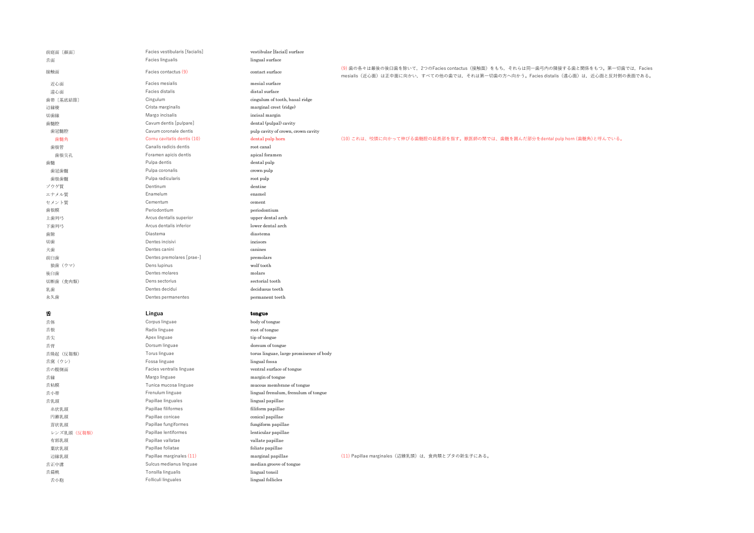| 前庭面 [顏面]    | Facies vestibularis [facialis]            | vestibular [facial] surface             |                                                                                                                                                                                |
|-------------|-------------------------------------------|-----------------------------------------|--------------------------------------------------------------------------------------------------------------------------------------------------------------------------------|
| 舌面          | Facies lingualis                          | lingual surface                         |                                                                                                                                                                                |
| 接触面         | Facies contactus (9)                      | contact surface                         | (9)歯の各々は最後の後臼歯を除いて、2つのFacies contactus (接触面) をもち、それらは同一歯弓内の隣接する歯と関係をもつ。第一切歯では、Facies<br>mesialis (近心面) は正中面に向かい、すべての他の歯では、それは第一切歯の方へ向かう。Facies distalis (遠心面) は、近心面と反対側の表面である。 |
| 近心面         | Facies mesialis                           | mesial surface                          |                                                                                                                                                                                |
| 遠心面         | Facies distalis                           | distal surface                          |                                                                                                                                                                                |
| 歯帯 〔基底結節〕   | Cingulum                                  | cingulum of tooth, basal ridge          |                                                                                                                                                                                |
| 辺縁稜         | Crista marginalis                         | marginal crest (ridge)                  |                                                                                                                                                                                |
| 切歯縁         | Margo incisalis                           | incisal margin                          |                                                                                                                                                                                |
| 歯髄腔         | Cavum dentis [pulpare]                    | dental (pulpal) cavity                  |                                                                                                                                                                                |
| 歯冠髄腔        | Cavum coronale dentis                     | pulp cavity of crown, crown cavity      |                                                                                                                                                                                |
| 歯髄角         | Cornu cavitatis dentis (10)               | dental pulp horn                        | (10) これは、咬頭に向かって伸びる歯髄腔の延長部を指す。獣医師の間では、歯髄を囲んだ部分をdental pulp horn (歯髄角)と呼んでいる。                                                                                                   |
| 歯根管         | Canalis radicis dentis                    | root canal                              |                                                                                                                                                                                |
| 歯根尖孔        | Foramen apicis dentis                     | apical foramen                          |                                                                                                                                                                                |
| 歯髄          | Pulpa dentis                              | dental pulp                             |                                                                                                                                                                                |
| 歯冠歯髄        | Pulpa coronalis                           | crown pulp                              |                                                                                                                                                                                |
| 歯根歯髄        | Pulpa radicularis                         | root pulp                               |                                                                                                                                                                                |
| ゾウゲ質        | Dentinum                                  | dentine                                 |                                                                                                                                                                                |
| エナメル質       | Enamelum                                  | enamel                                  |                                                                                                                                                                                |
| セメント質       | Cementum                                  | cement                                  |                                                                                                                                                                                |
|             | Periodontium                              | periodontium                            |                                                                                                                                                                                |
| 歯根膜         | Arcus dentalis superior                   |                                         |                                                                                                                                                                                |
| 上歯列弓        | Arcus dentalis inferior                   | upper dental arch<br>lower dental arch  |                                                                                                                                                                                |
| 下歯列弓        |                                           |                                         |                                                                                                                                                                                |
| 歯隙          | Diastema                                  | diastema                                |                                                                                                                                                                                |
| 切歯          | Dentes incisivi                           | incisors                                |                                                                                                                                                                                |
| 犬歯          | Dentes canini                             | canines                                 |                                                                                                                                                                                |
| 前臼歯         | Dentes premolares [prae-]                 | premolars                               |                                                                                                                                                                                |
| 狼歯 (ウマ)     | Dens lupinus                              | wolf tooth                              |                                                                                                                                                                                |
|             |                                           |                                         |                                                                                                                                                                                |
| 後臼歯         | Dentes molares                            | molars                                  |                                                                                                                                                                                |
| 切断菌 (食肉類)   | Dens sectorius                            | sectorial tooth                         |                                                                                                                                                                                |
| 乳菌          | Dentes decidui                            | deciduous teeth                         |                                                                                                                                                                                |
| 永久歯         | Dentes permanentes                        | permanent teeth                         |                                                                                                                                                                                |
|             |                                           |                                         |                                                                                                                                                                                |
| 舌           | Lingua                                    | tongue                                  |                                                                                                                                                                                |
| 舌体          | Corpus linguae                            | body of tongue                          |                                                                                                                                                                                |
| 舌根          | Radix linguae                             | root of tongue                          |                                                                                                                                                                                |
| 舌尖          | Apex linguae                              | tip of tongue                           |                                                                                                                                                                                |
| 舌背          | Dorsum linguae                            | dorsum of tongue                        |                                                                                                                                                                                |
| 舌隆起 (反芻類)   | Torus linguae                             | torus linguae, large prominence of body |                                                                                                                                                                                |
| 舌窩(ウシ)      | Fossa linguae                             | lingual fossa                           |                                                                                                                                                                                |
| 舌の腹側面       | Facies ventralis linguae                  | ventral surface of tongue               |                                                                                                                                                                                |
| 舌縁          | Margo linguae                             | margin of tongue                        |                                                                                                                                                                                |
| 舌粘膜         | Tunica mucosa linguae                     | mucous membrane of tongue               |                                                                                                                                                                                |
| 舌小带         | Frenulum linguae                          | lingual frenulum, frenulum of tongue    |                                                                                                                                                                                |
| 舌乳頭         | Papillae linguales                        | lingual papillae                        |                                                                                                                                                                                |
| 糸状乳頭        | Papillae filiformes                       | filiform papillae                       |                                                                                                                                                                                |
| 円錐乳頭        | Papillae conicae                          | conical papillae                        |                                                                                                                                                                                |
| 茸状乳頭        | Papillae fungiformes                      | fungiform papillae                      |                                                                                                                                                                                |
| レンズ乳頭 (反芻類) | Papillae lentiformes                      | lenticular papillae                     |                                                                                                                                                                                |
| 有郭乳頭        | Papillae vallatae                         | vallate papillae                        |                                                                                                                                                                                |
| 葉状乳頭        | Papillae foliatae                         | foliate papillae                        |                                                                                                                                                                                |
| 辺縁乳頭        | Papillae marginales (11)                  | marginal papillae                       | (11) Papillae marginales (辺縁乳頭) は、食肉類とブタの新生子にある。                                                                                                                               |
| 舌正中溝        | Sulcus medianus linguae                   | median groove of tongue                 |                                                                                                                                                                                |
| 舌扁桃<br>舌小胞  | Tonsilla lingualis<br>Folliculi linguales | lingual tonsil<br>lingual follicles     |                                                                                                                                                                                |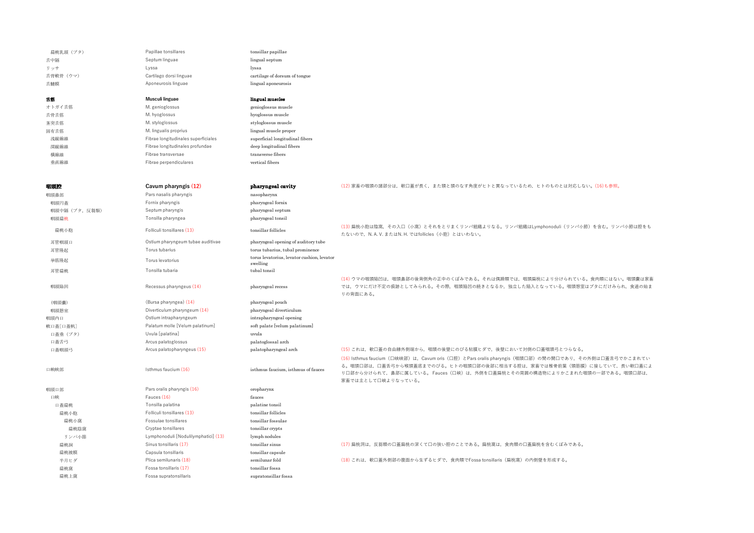| 扁桃乳頭 (ブタ)    | Papillae tonsillares                 | tonsillar papillae                         |                                                                                                                                                                                                                                                                                   |
|--------------|--------------------------------------|--------------------------------------------|-----------------------------------------------------------------------------------------------------------------------------------------------------------------------------------------------------------------------------------------------------------------------------------|
| 舌中隔          | Septum linguae                       | lingual septum                             |                                                                                                                                                                                                                                                                                   |
| リッサ          | Lyssa                                | lyssa                                      |                                                                                                                                                                                                                                                                                   |
| 舌背軟骨 (ウマ)    | Cartilago dorsi linguae              | cartilage of dorsum of tongue              |                                                                                                                                                                                                                                                                                   |
|              | Aponeurosis linguae                  | lingual aponeurosis                        |                                                                                                                                                                                                                                                                                   |
| 舌腱膜          |                                      |                                            |                                                                                                                                                                                                                                                                                   |
| 舌筋           | Musculi linguae                      | lingual muscles                            |                                                                                                                                                                                                                                                                                   |
| オトガイ舌筋       | M. genioglossus                      | genioglossus muscle                        |                                                                                                                                                                                                                                                                                   |
| 舌骨舌筋         | M. hyoglossus                        | hyoglossus muscle                          |                                                                                                                                                                                                                                                                                   |
| 茎突舌筋         | M. styloglossus                      | styloglossus muscle                        |                                                                                                                                                                                                                                                                                   |
| 固有舌筋         | M. lingualis proprius                | lingual muscle proper                      |                                                                                                                                                                                                                                                                                   |
| 浅縦線維         | Fibrae longitudinales superficiales  | superficial longitudinal fibers            |                                                                                                                                                                                                                                                                                   |
| 深縦線維         | Fibrae longitudinales profundae      | deep longitudinal fibers                   |                                                                                                                                                                                                                                                                                   |
| 横線維          | Fibrae transversae                   | transverse fibers                          |                                                                                                                                                                                                                                                                                   |
| 垂直線維         | Fibrae perpendiculares               | vertical fibers                            |                                                                                                                                                                                                                                                                                   |
|              |                                      |                                            |                                                                                                                                                                                                                                                                                   |
| 咽頭腔          | Cavum pharyngis (12)                 | pharyngeal cavity                          | (12) 家畜の咽頭の諸部分は、軟口蓋が長く、また頸と頭のなす角度がヒトと異なっているため、ヒトのものとは対応しない。(16)も参照。                                                                                                                                                                                                               |
| 咽頭鼻部         | Pars nasalis pharyngis               | nasopharynx                                |                                                                                                                                                                                                                                                                                   |
| 咽頭円蓋         | Fornix pharyngis                     | pharyngeal fornix                          |                                                                                                                                                                                                                                                                                   |
| 咽頭中隔(ブタ,反芻類) | Septum pharyngis                     | pharyngeal septum                          |                                                                                                                                                                                                                                                                                   |
| 咽頭扁桃         | Tonsilla pharyngea                   | pharyngeal tonsil                          |                                                                                                                                                                                                                                                                                   |
| 扁桃小胞         | Folliculi tonsillares (13)           | tonsillar follicles                        | (13) 扁桃小胞は陰窩, その入口 (小窩) とそれをとりまくリンパ組織よりなる。リンパ組織はLymphonoduli (リンパ小節) を含む。リンパ小節は腔をも<br>たないので、N.A.V. またはN.H. ではfollicles (小胞) とはいわない。                                                                                                                                               |
| 耳管咽頭口        | Ostium pharyngeum tubae auditivae    | pharyngeal opening of auditory tube        |                                                                                                                                                                                                                                                                                   |
| 耳管隆起         | Torus tubarius                       | torus tubarius, tubal prominence           |                                                                                                                                                                                                                                                                                   |
|              |                                      | torus levatorius, levator cushion, levator |                                                                                                                                                                                                                                                                                   |
| 挙筋隆起         | Torus levatorius                     | swelling                                   |                                                                                                                                                                                                                                                                                   |
| 耳管扁桃         | Tonsilla tubaria                     | tubal tonsil                               |                                                                                                                                                                                                                                                                                   |
| 咽頭陥凹         | Recessus pharyngeus (14)             | pharyngeal recess                          | (14) ウマの咽頭陥凹は、咽頭鼻部の後背側角の正中のくぼみである。それは偶蹄類では、咽頭扁桃により分けられている。食肉類にはない。咽頭囊は家畜<br>では、ウマにだけ不定の痕跡としてみられる。その際、咽頭陥凹の続きとなるか、独立した陥入となっている。咽頭憩室はブタにだけみられ、食道の始ま<br>りの背面にある。                                                                                                                     |
| (咽頭囊)        | (Bursa pharyngea) (14)               | pharyngeal pouch                           |                                                                                                                                                                                                                                                                                   |
| 咽頭憩室         | Diverticulum pharyngeum (14)         | pharyngeal diverticulum                    |                                                                                                                                                                                                                                                                                   |
| 咽頭内口         | Ostium intrapharyngeum               | intrapharyngeal opening                    |                                                                                                                                                                                                                                                                                   |
| 軟口蓋[口蓋帆]     | Palatum molle [Velum palatinum]      | soft palate [velum palatinum]              |                                                                                                                                                                                                                                                                                   |
| 口蓋垂(ブタ)      | Uvula [palatina]                     | uvula                                      |                                                                                                                                                                                                                                                                                   |
| 口蓋舌弓         | Arcus palatoglossus                  | palatoglossal arch                         |                                                                                                                                                                                                                                                                                   |
| 口蓋咽頭弓        | Arcus palatopharyngeus (15)          | palatopharyngeal arch                      | (15) これは、軟口蓋の自由縁外側端から、咽頭の後壁にのびる粘膜ヒダで、後壁において対側の口蓋咽頭弓とつらなる。                                                                                                                                                                                                                         |
| 口峡峡部         | Isthmus faucium (16)                 | isthmus faucium, isthmus of fauces         | (16) Isthmus faucium (口峡峡部) は、Cavum oris (口腔) とPars oralis pharyngis (咽頭口部) の間の開口であり、その外側は口蓋舌弓でかこまれてい<br>る。咽頭口部は、口蓋舌弓から喉頭蓋底までのびる。ヒトの咽頭口部の後部に相当する腔は、家畜では椎骨前葉(頸筋膜)に接していて、長い軟口蓋によ<br>り口部から分けられて、鼻部に属している。Fauces (口峡) は、外側を口蓋扁桃とその周囲の構造物によりかこまれた咽頭の一部である。咽頭口部は、<br>家畜では主として口峡よりなっている。 |
| 咽頭口部         | Pars oralis pharyngis (16)           | oropharynx                                 |                                                                                                                                                                                                                                                                                   |
| 口峡           | Fauces (16)                          | fauces                                     |                                                                                                                                                                                                                                                                                   |
| 口蓋扁桃         | Tonsilla palatina                    | palatine tonsil                            |                                                                                                                                                                                                                                                                                   |
| 扁桃小胞         | Folliculi tonsillares (13)           | tonsillar follicles                        |                                                                                                                                                                                                                                                                                   |
| 扁桃小窩         | Fossulae tonsillares                 | tonsillar fossulae                         |                                                                                                                                                                                                                                                                                   |
| 扁桃陰窩         | Cryptae tonsillares                  | tonsillar crypts                           |                                                                                                                                                                                                                                                                                   |
| リンパ小節        | Lymphonoduli [Nodulilymphatici] (13) | lymph nodules                              |                                                                                                                                                                                                                                                                                   |
| 扁桃洞          | Sinus tonsillaris (17)               | tonsillar sinus                            | (17) 扁桃洞は、反芻類の口蓋扁桃の深くて口の狭い腔のことである。扁桃窩は、食肉類の口蓋扁桃を含むくぼみである。                                                                                                                                                                                                                         |
| 扁桃被膜         | Capsula tonsillaris                  | tonsillar capsule                          |                                                                                                                                                                                                                                                                                   |
| 半月ヒダ         | Plica semilunaris (18)               | semilunar fold                             | (18) これは、軟口蓋外側部の腹面から生ずるヒダで、食肉類でFossa tonsillaris (扁桃窩) の内側壁を形成する。                                                                                                                                                                                                                 |
| 扁桃窩          | Fossa tonsillaris (17)               | tonsillar fossa                            |                                                                                                                                                                                                                                                                                   |
| 扁桃上窩         | Fossa supratonsillaris               | supratonsillar fossa                       |                                                                                                                                                                                                                                                                                   |
|              |                                      |                                            |                                                                                                                                                                                                                                                                                   |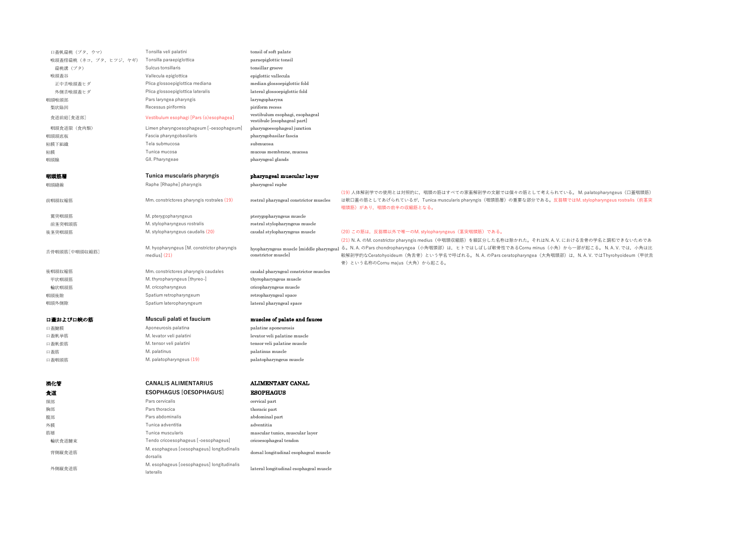| 口蓋帆扁桃(ブタ,ウマ)             | Tonsilla veli palatini                                      | tonsil of soft palate                                          |                                                                                                                                                                                                                                         |
|--------------------------|-------------------------------------------------------------|----------------------------------------------------------------|-----------------------------------------------------------------------------------------------------------------------------------------------------------------------------------------------------------------------------------------|
| 喉頭蓋傍扁桃 (ネコ, ブタ, ヒツジ, ヤギ) | Tonsilla paraepiglottica                                    | paraepiglottic tonsil                                          |                                                                                                                                                                                                                                         |
| 扁桃溝(ブタ)                  | Sulcus tonsillaris                                          | tonsillar groove                                               |                                                                                                                                                                                                                                         |
| 喉頭蓋谷                     | Vallecula epiglottica                                       | epiglottic vallecula                                           |                                                                                                                                                                                                                                         |
| 正中舌喉頭蓋ヒダ                 | Plica glossoepiglottica mediana                             | median glossoepiglottic fold                                   |                                                                                                                                                                                                                                         |
| 外側舌喉頭蓋ヒダ                 | Plica glossoepiglottica lateralis                           | lateral glossoepiglottic fold                                  |                                                                                                                                                                                                                                         |
| 咽頭喉頭部                    | Pars laryngea pharyngis                                     | laryngopharynx                                                 |                                                                                                                                                                                                                                         |
| 梨状陥凹                     | Recessus piriformis                                         | piriform recess                                                |                                                                                                                                                                                                                                         |
| 食道前庭[食道部]                | Vestibulum esophagi [Pars (o)esophagea]                     | vestibulum esophagi, esophageal<br>vestibule [esophageal part] |                                                                                                                                                                                                                                         |
| 咽頭食道限 (食肉類)              | Limen pharyngoesophageum [-oesophageum]                     | pharyngoesophageal junction                                    |                                                                                                                                                                                                                                         |
| 咽頭頭底板                    | Fascia pharyngobasilaris                                    | pharyngobasilar fascia                                         |                                                                                                                                                                                                                                         |
| 粘膜下組織                    | Tela submucosa                                              | submucosa                                                      |                                                                                                                                                                                                                                         |
| 粘膜                       | Tunica mucosa                                               | mucous membrane, mucosa                                        |                                                                                                                                                                                                                                         |
| 咽頭腺                      | GII. Pharyngeae                                             | pharyngeal glands                                              |                                                                                                                                                                                                                                         |
| 咽頭筋層                     | Tunica muscularis pharyngis                                 | pharyngeal muscular layer                                      |                                                                                                                                                                                                                                         |
|                          |                                                             |                                                                |                                                                                                                                                                                                                                         |
| 咽頭縫線                     | Raphe [Rhaphe] pharyngis                                    | pharyngeal raphe                                               |                                                                                                                                                                                                                                         |
|                          |                                                             |                                                                | (19)人体解剖学での使用とは対照的に、咽頭の筋はすべての家畜解剖学の文献では個々の筋として考えられている。M. palatopharyngeus (口蓋咽頭筋)                                                                                                                                                       |
| 前咽頭収縮筋                   | Mm. constrictores pharyngis rostrales (19)                  | rostral pharyngeal constrictor muscles                         | は軟口蓋の筋としてあげられているが、Tunica muscularis pharyngis(咽頭筋層)の重要な部分である。反芻類ではM. stylopharyngeus rostralis(前茎突<br>咽頭筋)があり、咽頭の前半の収縮筋となる。                                                                                                             |
|                          |                                                             |                                                                |                                                                                                                                                                                                                                         |
| 翼突咽頭筋<br>前茎突咽頭筋          | M. pterygopharyngeus<br>M. stylopharyngeus rostralis        | pterygopharyngeus muscle<br>rostral stylopharyngeus muscle     |                                                                                                                                                                                                                                         |
|                          | M. stylopharyngeus caudalis (20)                            | caudal stylopharyngeus muscle                                  | (20) この筋は、反芻類以外で唯一のM. stylopharyngeus (茎突咽頭筋) である。                                                                                                                                                                                      |
| 後茎突咽頭筋                   |                                                             |                                                                |                                                                                                                                                                                                                                         |
|                          |                                                             |                                                                | (21) N. A. のM. constrictor pharyngis medius (中咽頭収縮筋) を細区分した名称は除かれた。それはN. A. V. における舌骨の学名と調和できないためであ<br>hyopharyngeus muscle [middle pharyngeal る。N.A.のPars chondropharyngea(小角咽頭部)は、ヒトではしばしば軟骨性であるCornu minus(小角)から一部が起こる。N.A.V.では、小角は比 |
| 舌骨咽頭筋[中咽頭収縮筋]            | M. hyopharyngeus [M. constrictor pharyngis<br>medius $(21)$ | constrictor muscle]                                            | 較解剖学的なCeratohyoideum (角舌骨) という学名で呼ばれる。 N. A. のPars ceratopharyngea (大角咽頭部) は, N. A. V. ではThyrohyoideum (甲状舌                                                                                                                             |
|                          |                                                             |                                                                | 骨)という名称のCornu majus (大角)から起こる。                                                                                                                                                                                                          |
| 後咽頭収縮筋                   | Mm. constrictores pharyngis caudales                        | caudal pharyngeal constrictor muscles                          |                                                                                                                                                                                                                                         |
| 甲状咽頭筋                    | M. thyropharyngeus [thyreo-]                                | thyropharyngeus muscle                                         |                                                                                                                                                                                                                                         |
| 輪状咽頭筋                    | M. cricopharyngeus                                          | cricopharyngeus muscle                                         |                                                                                                                                                                                                                                         |
| 咽頭後隙                     | Spatium retropharyngeum                                     | retropharyngeal space                                          |                                                                                                                                                                                                                                         |
| 咽頭外側隙                    | Spatium lateropharyngeum                                    | lateral pharyngeal space                                       |                                                                                                                                                                                                                                         |
|                          |                                                             |                                                                |                                                                                                                                                                                                                                         |
| 口蓋および口峡の筋                | Musculi palati et faucium                                   | muscles of palate and fauces                                   |                                                                                                                                                                                                                                         |
| 口蓋腱膜                     | Aponeurosis palatina                                        | palatine aponeurosis                                           |                                                                                                                                                                                                                                         |
| 口蓋帆挙筋                    | M. levator veli palatini                                    | levator veli palatine muscle                                   |                                                                                                                                                                                                                                         |
| 口蓋帆張筋                    | M. tensor veli palatini                                     | tensor veli palatine muscle                                    |                                                                                                                                                                                                                                         |
| 口蓋筋                      | M. palatinus                                                | palatinus muscle                                               |                                                                                                                                                                                                                                         |
| 口蓋咽頭筋                    | M. palatopharyngeus (19)                                    | palatopharyngeus muscle                                        |                                                                                                                                                                                                                                         |
|                          |                                                             |                                                                |                                                                                                                                                                                                                                         |
| 消化管                      | <b>CANALIS ALIMENTARIUS</b>                                 | ALIMENTARY CANAL                                               |                                                                                                                                                                                                                                         |
|                          | <b>ESOPHAGUS [OESOPHAGUS]</b>                               | <b>ESOPHAGUS</b>                                               |                                                                                                                                                                                                                                         |
| 食道                       |                                                             |                                                                |                                                                                                                                                                                                                                         |
| 頸部                       | Pars cervicalis                                             | cervical part                                                  |                                                                                                                                                                                                                                         |
| 胸部                       | Pars thoracica                                              | thoracic part                                                  |                                                                                                                                                                                                                                         |
| 腹部                       | Pars abdominalis                                            | abdominal part                                                 |                                                                                                                                                                                                                                         |
| 外膜                       | Tunica adventitia                                           | adventitia                                                     |                                                                                                                                                                                                                                         |
| 筋層                       | Tunica muscularis                                           | mascular tunics, muscular layer                                |                                                                                                                                                                                                                                         |
| 輸状食道腱束                   | Tendo cricoesophageus [-oesophageus]                        | cricoesophageal tendon                                         |                                                                                                                                                                                                                                         |
| 背側縦食道筋                   | M. esophageus [oesophageus] longitudinalis<br>dorsalis      | dorsal longitudinal esophageal muscle                          |                                                                                                                                                                                                                                         |
| 外側縦食道筋                   | M. esophageus [oesophageus] longitudinalis<br>lateralis     | lateral longitudinal esophageal muscle                         |                                                                                                                                                                                                                                         |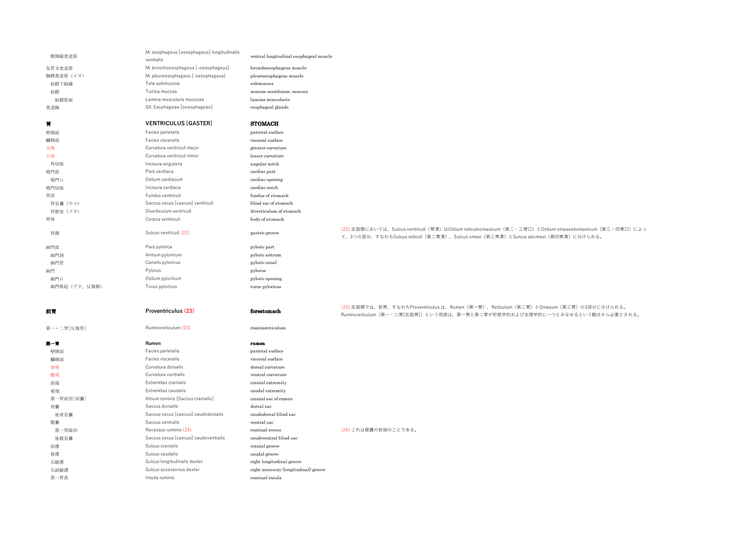| 腹側縦食道筋         | M. esophageus [oesophageus] longitudinalis<br>ventralis | ventral longitudinal esophageal muscle |                                                                                                                                                                                                |
|----------------|---------------------------------------------------------|----------------------------------------|------------------------------------------------------------------------------------------------------------------------------------------------------------------------------------------------|
| 気管支食道筋         | M. bronchoesophageus [-oesophageus]                     | bronchoesophageus muscle               |                                                                                                                                                                                                |
| 胸膜食道筋 (イヌ)     | M. pleuroesophageus [-oesophageus]                      | pleuroesophageus muscle                |                                                                                                                                                                                                |
| 粘膜下組織          | Tela submucosa                                          | submucosa                              |                                                                                                                                                                                                |
| 粘膜             | Tunica mucosa                                           | mucous membrane, mucosa                |                                                                                                                                                                                                |
| 粘膜筋板           | Lamina muscularis mucosae                               | lamina muscularis                      |                                                                                                                                                                                                |
| 食道腺            | GII. Esophageae [oesophageae]                           | esophageal glands                      |                                                                                                                                                                                                |
| 胃              | <b>VENTRICULUS [GASTER]</b>                             | <b>STOMACH</b>                         |                                                                                                                                                                                                |
| 壁側面            | Facies parietalis                                       | parietal surface                       |                                                                                                                                                                                                |
| 臟側面            | Facies visceralis                                       | visceral surface                       |                                                                                                                                                                                                |
| 大弯             | Curvatura ventriculi major                              | greater curvature                      |                                                                                                                                                                                                |
| 小弯             | Curvatura ventriculi minor                              | lesser curvature                       |                                                                                                                                                                                                |
| 角切痕            | Incisura angularis                                      | angular notch                          |                                                                                                                                                                                                |
| 噴門部            | Pars cardiaca                                           | cardiac part                           |                                                                                                                                                                                                |
| 噴門口            | Ostium cardiacum                                        | cardiac opening                        |                                                                                                                                                                                                |
| 噴門切痕           | Incisura cardiaca                                       | cardiac notch                          |                                                                                                                                                                                                |
| 胃底             | Fundus ventriculi                                       | fundus of stomach                      |                                                                                                                                                                                                |
| 胃盲囊 (ウマ)       | Saccus cecus [caecus] ventriculi                        | blind sac of stomach                   |                                                                                                                                                                                                |
| 胃憩室 (ブタ)       | Diverticulum ventriculi                                 | diverticulum of stomach                |                                                                                                                                                                                                |
| 胃体             | Corpus ventriculi                                       | body of stomach                        |                                                                                                                                                                                                |
| 胃溝             | Sulcus ventriculi (22)                                  | gastric groove                         | (22) 反芻類においては、Sulcus ventriculi(胃溝)はOstium reticuloomasicum(第二・三胃口)とOstium omasoabomasicum(第三・四胃口)によっ<br>て、3つの部分、すなわちSulcus reticuli (第二胃溝)、Sulcus omasi (第三胃溝) とSulcus abomasi (第四胃溝) に分けられる。 |
| 幽門部            | Pars pylorica                                           | pyloric part                           |                                                                                                                                                                                                |
| 幽門洞            | Antrum pyloricum                                        | pyloric antrum                         |                                                                                                                                                                                                |
| 幽門管            | Canalis pyloricus                                       | pyloric canal                          |                                                                                                                                                                                                |
| 幽門             | Pylorus                                                 | pylorus                                |                                                                                                                                                                                                |
| 幽門口            | Ostium pyloricum                                        | pyloric opening                        |                                                                                                                                                                                                |
| 幽門隆起 (ブタ, 反芻類) | Torus pyloricus                                         | torus pyloricus                        |                                                                                                                                                                                                |
| 前胃             | Proventriculus (23)                                     | forestomach                            | (23) 反芻類では、前胃、すなわちProventriculus は、Rumen(第一胃)、Reticulum(第二胃)とOmasum(第三胃)の3部分に分けられる。<br>Ruminoreticulum (第一·二胃[反芻胃]) という用語は、第一胃と第二胃が形態学的および生理学的に一つとみなせるという観点から必要とされる。                           |
| 第一·二胃[反芻胃]     | Ruminoreticulum (23)                                    | ruminoreticulum                        |                                                                                                                                                                                                |
| 第一胃            | Rumen                                                   | rumen                                  |                                                                                                                                                                                                |
| 壁側面            | Facies parietalis                                       | parietal surface                       |                                                                                                                                                                                                |
| 臟側面            | Facies visceralis                                       | visceral surface                       |                                                                                                                                                                                                |
| 背弯             | Curvatura dorsalis                                      | dorsal curvature                       |                                                                                                                                                                                                |
| 腹弯             | Curvatura ventralis                                     | ventral curvature                      |                                                                                                                                                                                                |
| 前端             | Extremitas cranialis                                    | cranial extremity                      |                                                                                                                                                                                                |
| 後端             | Extremitas caudalis                                     | caudal extremity                       |                                                                                                                                                                                                |
| 第一胃前房[前囊]      | Atrium ruminis [Saccus cranialis]                       | cranial sac of rumen                   |                                                                                                                                                                                                |
| 背囊             | Saccus dorsalis                                         | dorsal sac                             |                                                                                                                                                                                                |
| 後背盲囊           | Saccus cecus [caecus] caudodorsalis                     | caudodorsal blind sac                  |                                                                                                                                                                                                |
| 腹囊             | Saccus ventralis                                        | ventral sac                            |                                                                                                                                                                                                |
| 第一胃陥凹          | Recessus ruminis (24)                                   | ruminal recess                         | (24) これは腹囊の前端のことである。                                                                                                                                                                           |
| 後腹盲囊           | Saccus cecus [caecus] caudoventralis                    | caudoventral blind sac                 |                                                                                                                                                                                                |
| 前溝             | Sulcus cranialis                                        | cranial groove                         |                                                                                                                                                                                                |
| 後溝             | Sulcus caudalis                                         | caudal groove                          |                                                                                                                                                                                                |

右縦溝 **Example 2016** Sulcus longitudinalis dexter right longitudinal groove 右副縦溝 Sulcus accessorius dexter right accessory (longitudinal) groove

第一胃島 **Insula ruminis** and Insula ruminis **Insula** ruminal insula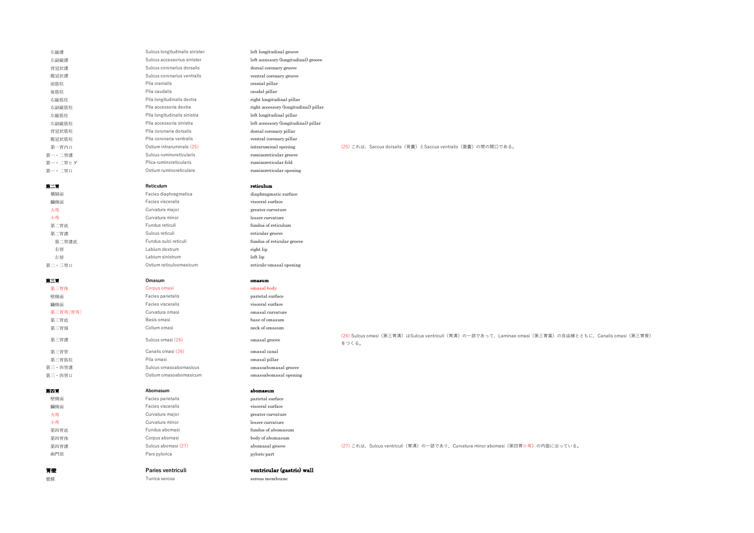| 左縦溝      | Sulcus longitudinalis sinister | left longitudinal groove              |                                                                                                             |
|----------|--------------------------------|---------------------------------------|-------------------------------------------------------------------------------------------------------------|
| 左副縦溝     | Sulcus accessorius sinister    | left accessory (longitudinal) groove  |                                                                                                             |
| 背冠状溝     | Sulcus coronarius dorsalis     | dorsal coronary groove                |                                                                                                             |
| 腹冠状溝     | Sulcus coronarius ventralis    | ventral coronary groove               |                                                                                                             |
| 前筋柱      | Pila cranialis                 | cranial pillar                        |                                                                                                             |
| 後筋柱      | Pila caudalis                  | caudal pillar                         |                                                                                                             |
| 右縦筋柱     | Pila longitudinalis dextra     | right longitudinal pillar             |                                                                                                             |
| 右副縦筋柱    | Pila accessoria dextra         | right accessory (longitudinal) pillar |                                                                                                             |
| 左縦筋柱     | Pila longitudinalis sinistra   | left longitudinal pillar              |                                                                                                             |
| 左副縦筋柱    | Pila accessoria sinistra       | left accessory (longitudinal) pillar  |                                                                                                             |
| 背冠状筋柱    | Pila coronaria dorsalis        | dorsal coronary pillar                |                                                                                                             |
| 腹冠状筋柱    | Pila coronaria ventralis       | ventral coronary pillar               |                                                                                                             |
| 第一胃内口    | Ostium intraruminale (25)      | intraruminal opening                  | (25) これは、Saccus dorsalis (背嚢) とSaccus ventralis (腹嚢) の間の開口である。                                              |
| 第一・二胃溝   | Sulcus ruminoreticularis       | ruminoreticular groove                |                                                                                                             |
| 第一・二胃ヒダ  | Plica ruminoreticularis        | ruminoreticular fold                  |                                                                                                             |
| 第一・二胃口   | Ostium ruminoreticulare        | ruminoreticular opening               |                                                                                                             |
|          |                                |                                       |                                                                                                             |
| 第二胃      | Reticulum                      | reticulum                             |                                                                                                             |
| 横隔面      | Facies diaphragmatica          | diaphragmatic surface                 |                                                                                                             |
| 臓側面      | Facies visceralis              | visceral surface                      |                                                                                                             |
| 大弯       | Curvatura major                | greater curvature                     |                                                                                                             |
| 小弯       | Curvatura minor                | lesser curvature                      |                                                                                                             |
| 第二胃底     | Fundus reticuli                | fundus of reticulum                   |                                                                                                             |
| 第二胃溝     | Sulcus reticuli                | reticular groove                      |                                                                                                             |
| 第二胃溝底    | Fundus sulci reticuli          | fundus of reticular groove            |                                                                                                             |
| 右唇       | Labium dextrum                 | right lip                             |                                                                                                             |
| 左唇       | Labium sinistrum               | left lip                              |                                                                                                             |
| 第二・三胃口   | Ostium reticuloomasicum        | reticulo-omasal opening               |                                                                                                             |
|          |                                |                                       |                                                                                                             |
| 第三胃      | Omasum                         | omasum                                |                                                                                                             |
| 第三胃体     | Corpus omasi                   | omasal body                           |                                                                                                             |
| 壁側面      | Facies parietalis              | parietal surface                      |                                                                                                             |
| 臟側面      | Facies visceralis              | visceral surface                      |                                                                                                             |
| 第三胃弯[背弯] | Curvatura omasi                | omasal curvature                      |                                                                                                             |
| 第三胃底     | Basis omasi                    | base of omasum                        |                                                                                                             |
| 第三胃頸     | Collum omasi                   | neck of omasum                        |                                                                                                             |
|          |                                |                                       | (26) Sulcus omasi (第三胃溝) はSulcus ventriculi (胃溝) の一部であって、Laminae omasi (第三胃葉) の自由縁とともに、Canalis omasi (第三胃管) |
| 第三胃溝     | Sulcus omasi (26)              | omasal groove                         | をつくる。                                                                                                       |
| 第三胃管     | Canalis omasi (26)             | omasal canal                          |                                                                                                             |
| 第三胃筋柱    | Pila omasi                     | omasal pillar                         |                                                                                                             |
| 第三·四胃溝   | Sulcus omasoabomasicus         | omasoabomasal groove                  |                                                                                                             |
| 第三・四胃口   | Ostium omasoabomasicum         | omasoabomasal opening                 |                                                                                                             |
|          |                                |                                       |                                                                                                             |
| 第四胃      | Abomasum                       | abomasum                              |                                                                                                             |
| 壁側面      | Facies parietalis              | parietal surface                      |                                                                                                             |
| 臟側面      | Facies visceralis              | visceral surface                      |                                                                                                             |
| 大弯       | Curvatura major                | greater curvature                     |                                                                                                             |
| 小弯       | Curvatura minor                | lesser curvature                      |                                                                                                             |
| 第四胃底     | Fundus abomasi                 | fundus of abomasum                    |                                                                                                             |
| 第四胃体     | Corpus abomasi                 | body of abomasum                      |                                                                                                             |
| 第四胃溝     | Sulcus abomasi (27)            | abomasal groove                       | (27) これは、Sulcus ventriculi (胃溝) の一部であり、Curvatura minor abomasi (第四胃小弯) の内面に沿っている。                           |
| 幽門部      | Pars pylorica                  | pyloric part                          |                                                                                                             |
|          |                                |                                       |                                                                                                             |
| 胃壁       | Paries ventriculi              | ventricular (gastric) wall            |                                                                                                             |
| 漿膜       | Tunica serosa                  | serous membrane                       |                                                                                                             |
|          |                                |                                       |                                                                                                             |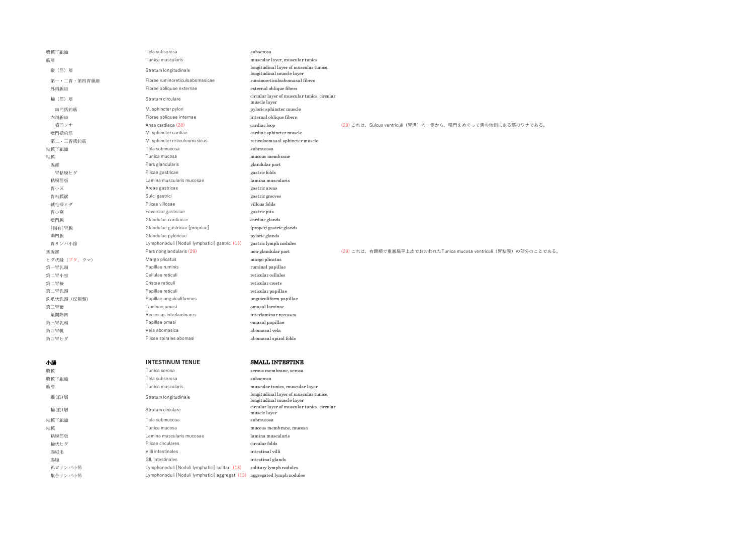| 漿膜下組織        | Tela subserosa                                 | subserosa                                                           |                                                                    |
|--------------|------------------------------------------------|---------------------------------------------------------------------|--------------------------------------------------------------------|
| 筋層           | Tunica muscularis                              | muscular layer, muscular tunics                                     |                                                                    |
| 縦 (筋) 層      | Stratum longitudinale                          | longitudinal layer of muscular tunics,<br>longitudinal muscle layer |                                                                    |
| 第一・二胃・第四胃線維  | Fibrae ruminoreticuloabomasicae                | ruminoreticuloabomasal fibers                                       |                                                                    |
| 外斜線維         | Fibrae obliquae externae                       | external oblique fibers                                             |                                                                    |
| 輪 (筋) 層      | Stratum circulare                              | circular layer of muscular tunics, circular<br>muscle layer         |                                                                    |
| 幽門括約筋        | M. sphincter pylori                            | pyloric sphincter muscle                                            |                                                                    |
| 内斜線維         | Fibrae obliquae internae                       | internal oblique fibers                                             |                                                                    |
| 暗門ワナ         | Ansa cardiaca (28)                             | cardiac loop                                                        | (28) これは、Sulcus ventriculi (胃溝) の一側から、噴門をめぐって溝の他側に走る筋のワナである。       |
| 噴門括約筋        | M. sphincter cardiae                           | cardiac sphincter muscle                                            |                                                                    |
| 第二·三胃括約筋     | M. sphincter reticuloomasicus                  | reticuloomasal sphincter muscle                                     |                                                                    |
| 粘膜下組織        | Tela submucosa                                 | submucosa                                                           |                                                                    |
| 粘膜           | Tunica mucosa                                  | mucous membrane                                                     |                                                                    |
| 腺部           | Pars glandularis                               | glandular part                                                      |                                                                    |
| 胃粘膜ヒダ        | Plicae gastricae                               | gastric folds                                                       |                                                                    |
| 粘膜筋板         | Lamina muscularis mucosae                      | lamina muscularis                                                   |                                                                    |
| 胃小区          | Areae gastricae                                | gastric areas                                                       |                                                                    |
| 胃粘膜溝         | Sulci gastrici                                 | gastric grooves                                                     |                                                                    |
| 絨毛様ヒダ        | Plicae villosae                                | villous folds                                                       |                                                                    |
| 胃小窩          | Foveolae gastricae                             | gastric pits                                                        |                                                                    |
| 噴門腺          | Glandulae cardiacae                            | cardiac glands                                                      |                                                                    |
| [固有]胃腺       | Glandulae gastricae [propriae]                 | (proper) gastric glands                                             |                                                                    |
| 幽門腺          | Glandulae pyloricae                            | pyloric glands                                                      |                                                                    |
| 胃リンパ小節       | Lymphonoduli [Noduli lymphatici] gastrici (13) | gastric lymph nodules                                               |                                                                    |
| 無腺部          | Pars nonglandularis (29)                       | non-glandular part                                                  | (29) これは、有蹄類で重層扁平上皮でおおわれたTunica mucosa ventriculi (胃粘膜) の部分のことである。 |
| ヒダ状縁 (ブタ,ウマ) | Margo plicatus                                 | margo plicatus                                                      |                                                                    |
| 第一胃乳頭        | Papillae ruminis                               | ruminal papillae                                                    |                                                                    |
| 第二胃小室        | Cellulae reticuli                              | reticular cellules                                                  |                                                                    |
| 第二胃稜         | Cristae reticuli                               | reticular crests                                                    |                                                                    |
| 第二胃乳頭        | Papillae reticuli                              | reticular papillae                                                  |                                                                    |
| 鉤爪状乳頭 (反芻類)  | Papillae unguiculiformes                       | unguiculiform papillae                                              |                                                                    |
| 第三胃葉         | Laminae omasi                                  | omasal laminae                                                      |                                                                    |
| 葉間陥凹         | Recessus interlaminares                        | interlaminar recesses                                               |                                                                    |
| 第三胃乳頭        | Papillae omasi                                 | omasal papillae                                                     |                                                                    |
| 第四胃帆         | Vela abomasica                                 | abomasal vela                                                       |                                                                    |
| 第四胃ヒダ        | Plicae spirales abomasi                        | abomasal spiral folds                                               |                                                                    |
|              |                                                |                                                                     |                                                                    |
|              |                                                |                                                                     |                                                                    |

| 小腸      | <b>INTESTINUM TENUE</b>                         | SMALL INTESTINE                                                     |
|---------|-------------------------------------------------|---------------------------------------------------------------------|
| 漿膜      | Tunica serosa                                   | serous membrane, serosa                                             |
| 漿膜下組織   | Tela subserosa                                  | subserosa                                                           |
| 筋層      | Tunica muscularis                               | muscular tunics, muscular layer                                     |
| 縦(筋)層   | Stratum longitudinale                           | longitudinal layer of muscular tunics,<br>longitudinal muscle layer |
| 輪(筋)層   | Stratum circulare                               | circular layer of muscular tunics, circular<br>muscle layer         |
| 粘膜下組織   | Tela submucosa                                  | submucosa                                                           |
| 粘膜      | Tunica mucosa                                   | mucous membrane, mucosa                                             |
| 粘膜筋板    | Lamina muscularis mucosae                       | lamina muscularis                                                   |
| 輪状ヒダ    | Plicae circulares                               | circular folds                                                      |
| 腸絨毛     | Villi intestinales                              | intestinal villi                                                    |
| 腸腺      | GII. intestinales                               | intestinal glands                                                   |
| 孤立リンパ小節 | Lymphonoduli [Noduli lymphatici] solitarii (13) | solitary lymph nodules                                              |
| 集合リンパ小節 | Lymphonoduli [Noduli lymphatici] aggregati (13) | aggregated lymph nodules                                            |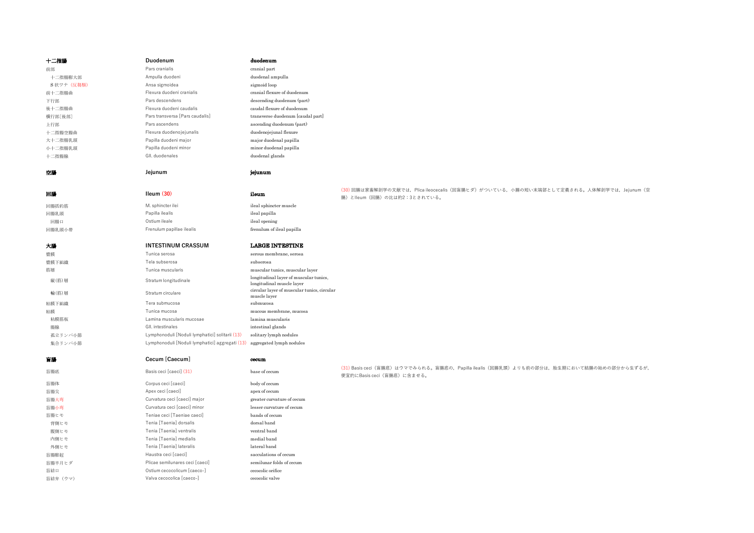| 十二指腸        | Duodenum                                        | duodenum                                                            |                                                                                        |
|-------------|-------------------------------------------------|---------------------------------------------------------------------|----------------------------------------------------------------------------------------|
| 前部          | Pars cranialis                                  | cranial part                                                        |                                                                                        |
| 十二指腸膨大部     | Ampulla duodeni                                 | duodenal ampulla                                                    |                                                                                        |
| S 状ワナ (反芻類) | Ansa sigmoidea                                  | sigmoid loop                                                        |                                                                                        |
| 前十二指腸曲      | Flexura duodeni cranialis                       | cranial flexure of duodenum                                         |                                                                                        |
| 下行部         | Pars descendens                                 | descending duodenum (part)                                          |                                                                                        |
| 後十二指腸曲      | Flexura duodeni caudalis                        | caudal flexure of duodenum                                          |                                                                                        |
| 横行部[後部]     | Pars transversa [Pars caudalis]                 | transverse duodenum [caudal part]                                   |                                                                                        |
| 上行部         | Pars ascendens                                  | ascending duodenum (part)                                           |                                                                                        |
| 十二指腸空腸曲     | Flexura duodenojejunalis                        | duodenojejunal flexure                                              |                                                                                        |
| 大十二指腸乳頭     | Papilla duodeni major                           | major duodenal papilla                                              |                                                                                        |
| 小十二指腸乳頭     | Papilla duodeni minor                           | minor duodenal papilla                                              |                                                                                        |
| 十二指腸腺       | GII. duodenales                                 | duodenal glands                                                     |                                                                                        |
|             |                                                 |                                                                     |                                                                                        |
| 空腸          | Jejunum                                         | jejunum                                                             |                                                                                        |
|             |                                                 |                                                                     |                                                                                        |
| 回腸          | Ileum $(30)$                                    | ileum                                                               | (30)回腸は家畜解剖学の文献では、Plica ileocecalis (回盲腸ヒダ) がついている、小腸の短い末端部として定義される。人体解剖学では、Jejunum (空 |
|             |                                                 |                                                                     | 腸)とlleum (回腸) の比は約2:3とされている。                                                           |
| 回腸括約筋       | M. sphincter ilei                               | ileal sphincter muscle                                              |                                                                                        |
| 回腸乳頭        | Papilla ilealis                                 | ileal papilla                                                       |                                                                                        |
| 回腸口         | Ostium ileale                                   | ileal opening                                                       |                                                                                        |
| 回腸乳頭小帯      | Frenulum papillae ilealis                       | frenulum of ileal papilla                                           |                                                                                        |
|             |                                                 |                                                                     |                                                                                        |
| 大腸          | <b>INTESTINUM CRASSUM</b>                       | <b>LARGE INTESTINE</b>                                              |                                                                                        |
| 漿膜          | Tunica serosa                                   | serous membrane, serosa                                             |                                                                                        |
| 漿膜下組織       | Tela subserosa                                  | subserosa                                                           |                                                                                        |
| 筋層          | Tunica muscularis                               | muscular tunics, muscular layer                                     |                                                                                        |
| 縦(筋)層       | Stratum longitudinale                           | longitudinal layer of muscular tunics,<br>longitudinal muscle layer |                                                                                        |
| 輪(筋)層       | Stratum circulare                               | circular layer of muscular tunics, circular<br>muscle layer         |                                                                                        |
| 粘膜下組織       | Tera submucosa                                  | submucosa                                                           |                                                                                        |
| 粘膜          | Tunica mucosa                                   | mucous membrane, mucosa                                             |                                                                                        |
| 粘膜筋板        | Lamina muscularis mucosae                       | lamina muscularis                                                   |                                                                                        |
| 腸腺          | GII. intestinales                               | intestinal glands                                                   |                                                                                        |
| 孤立リンパ小節     | Lymphonoduli [Noduli lymphatici] solitarii (13) | solitary lymph nodules                                              |                                                                                        |
|             |                                                 |                                                                     |                                                                                        |

| 盲腸      | Cecum [Caecum]                  | cecum                      |                                                                                                                             |
|---------|---------------------------------|----------------------------|-----------------------------------------------------------------------------------------------------------------------------|
|         |                                 |                            |                                                                                                                             |
| 盲腸底     | Basis ceci [caeci] (31)         | base of cecum              | (31) Basis ceci (盲腸底) はウマでみられる。盲腸底の, Papilla ilealis (回腸乳頭) よりも前の部分は, 胎生期において結腸の始めの部分から生ずるが,<br>便宜的にBasis ceci (盲腸底) に含ませる。 |
| 盲腸体     | Corpus ceci [caeci]             | body of cecum              |                                                                                                                             |
| 盲腸尖     | Apex ceci [caeci]               | apex of cecum              |                                                                                                                             |
| 盲腸大弯    | Curvatura ceci [caeci] major    | greater curvature of cecum |                                                                                                                             |
| 盲腸小弯    | Curvatura ceci [caeci] minor    | lesser curvature of cecum  |                                                                                                                             |
| 盲腸ヒモ    | Teniae ceci [Taeniae caeci]     | bands of cecum             |                                                                                                                             |
| 背側ヒモ    | Tenia [Taenia] dorsalis         | dorsal band                |                                                                                                                             |
| 腹側ヒモ    | Tenia [Taenia] ventralis        | ventral band               |                                                                                                                             |
| 内側ヒモ    | Tenia [Taenia] medialis         | medial band                |                                                                                                                             |
| 外側ヒモ    | Tenia [Taenia] lateralis        | lateral band               |                                                                                                                             |
| 盲腸膨起    | Haustra ceci [caeci]            | sacculations of cecum      |                                                                                                                             |
| 盲腸半月ヒダ  | Plicae semilunares ceci [caeci] | semilunar folds of cecum   |                                                                                                                             |
| 盲結口     | Ostium cecocolicum [caeco-]     | cecocolic orifice          |                                                                                                                             |
| 盲結弁(ウマ) | Valva cecocolica [caeco-]       | cecocolic valve            |                                                                                                                             |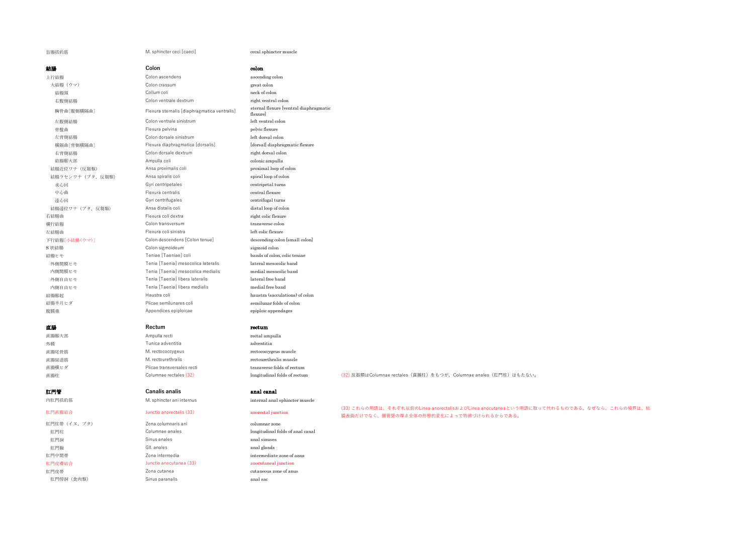# 盲腸括約筋 M. sphincter ceci [caeci] cecal sphincter muscle

| 結腸                | Colon                                        | colon                                              |                                                                                                                                      |
|-------------------|----------------------------------------------|----------------------------------------------------|--------------------------------------------------------------------------------------------------------------------------------------|
| 上行結腸              | Colon ascendens                              | ascending colon                                    |                                                                                                                                      |
| 大結腸 (ウマ)          | Colon crassum                                | great colon                                        |                                                                                                                                      |
| 結腸頸               | Collum coli                                  | neck of colon                                      |                                                                                                                                      |
| 右腹側結腸             | Colon ventrale dextrum                       | right ventral colon                                |                                                                                                                                      |
| 胸骨曲[腹側横隔曲]        | Flexura sternalis [diaphragmatica ventralis] | sternal flexure [ventral diaphragmatic<br>flexure] |                                                                                                                                      |
| 左腹側結腸             | Colon ventrale sinistrum                     | left ventral colon                                 |                                                                                                                                      |
| 骨盤曲               | Flexura pelvina                              | pelvic flexure                                     |                                                                                                                                      |
| 左背側結腸             | Colon dorsale sinistrum                      | left dorsal colon                                  |                                                                                                                                      |
| 横隔曲[背側横隔曲]        | Flexura diaphragmatica [dorsalis]            | [dorsal] diaphragmatic flexure                     |                                                                                                                                      |
| 右背側結腸             | Colon dorsale dextrum                        | right dorsal colon                                 |                                                                                                                                      |
| 結腸膨大部             | Ampulla coli                                 | colonic ampulla                                    |                                                                                                                                      |
| 結腸近位ワナ (反芻類)      | Ansa proximalis coli                         | proximal loop of colon                             |                                                                                                                                      |
| 結腸ラセンワナ (ブタ, 反芻類) | Ansa spiralis coli                           | spiral loop of colon                               |                                                                                                                                      |
| 求心回               | Gyri centripetales                           | centripetal turns                                  |                                                                                                                                      |
| 中心曲               | Flexura centralis                            | central flexure                                    |                                                                                                                                      |
| 遠心回               | Gyri centrifugales                           | centrifugal turns                                  |                                                                                                                                      |
| 結腸遠位ワナ (ブタ, 反芻類)  | Ansa distalis coli                           | distal loop of colon                               |                                                                                                                                      |
| 右結腸曲              | Flexura coli dextra                          | right colic flexure                                |                                                                                                                                      |
| 横行結腸              | Colon transversum                            | transverse colon                                   |                                                                                                                                      |
| 左結腸曲              | Flexura coli sinistra                        | left colic flexure                                 |                                                                                                                                      |
| 下行結腸[小結腸(ウマ)]     | Colon descendens [Colon tenue]               | descending colon [small colon]                     |                                                                                                                                      |
| S 状結腸             | Colon sigmoideum                             | sigmoid colon                                      |                                                                                                                                      |
| 結腸ヒモ              | Teniae [Taeniae] coli                        | bands of colon, colic teniae                       |                                                                                                                                      |
| 外側間膜ヒモ            | Tenia [Taenia] mesocolica lateralis          | lateral mesocolic band                             |                                                                                                                                      |
| 内側間膜ヒモ            | Tenia [Taenia] mesocolica medialis           | medial mesocolic band                              |                                                                                                                                      |
| 外側自由ヒモ            | Tenia [Taenia] libera lateralis              | lateral free band                                  |                                                                                                                                      |
| 内側自由ヒモ            | Tenia [Taenia] libera medialis               | medial free band                                   |                                                                                                                                      |
| 結腸膨起              | Haustra coli                                 | haustra (sacculations) of colon                    |                                                                                                                                      |
| 結腸半月ヒダ            | Plicae semilunares coli                      | semilunar folds of colon                           |                                                                                                                                      |
| 腹膜垂               | Appendices epiploicae                        | epiploic appendages                                |                                                                                                                                      |
| 直腸                | Rectum                                       | rectum                                             |                                                                                                                                      |
| 直腸膨大部             | Ampulla recti                                | rectal ampulla                                     |                                                                                                                                      |
| 外膜                | Tunica adventitia                            | adventitia                                         |                                                                                                                                      |
| 直腸尾骨筋             | M. rectococcygeus                            | rectococcygeus muscle                              |                                                                                                                                      |
| 直腸尿道筋             | M. rectourethralis                           | rectourethralis muscle                             |                                                                                                                                      |
| 直腸横ヒダ             | Plicae transversales recti                   | transverse folds of rectum                         |                                                                                                                                      |
| 直腸柱               | Columnae rectales (32)                       | longitudinal folds of rectum                       | (32) 反芻類はColumnae rectales (直腸柱) をもつが、Columnae anales (肛門柱) はもたない。                                                                   |
| 肛門管               | <b>Canalis analis</b>                        | anal canal                                         |                                                                                                                                      |
| 内肛門括約筋            | M. sphincter ani internus                    | internal anal sphincter muscle                     |                                                                                                                                      |
| 肛門直腸結合            | Junctio anorectalis (33)                     | anorectal junction                                 | (33) これらの用語は、それぞれ以前のLinea anorectalisおよびLinea anocutaneaという用語に取って代わるものである。なぜなら、これらの境界は、粘<br>膜表面だけでなく、腸管壁の厚さ全体の形態的変化によって特徴づけられるからである。 |
| 肛門柱帯 (イヌ,ブタ)      | Zona columnaris ani                          | columnar zone                                      |                                                                                                                                      |
| 肛門柱               | Columnae anales                              | longitudinal folds of anal canal                   |                                                                                                                                      |
| 肛門洞               | Sinus anales                                 | anal sinuses                                       |                                                                                                                                      |
| 肛門腺               | GII, anales                                  | anal glands                                        |                                                                                                                                      |
| 肛門中間帯             | Zona intermedia                              | intermediate zone of anus                          |                                                                                                                                      |
| 肛門皮膚結合            | Junctio anocutanea (33)                      | anocutaneal junction                               |                                                                                                                                      |
| 肛門皮帯              | Zona cutanea                                 | cutaneous zone of anus                             |                                                                                                                                      |
| 肛門傍洞 (食肉類)        | Sinus paranalis                              | anal sac                                           |                                                                                                                                      |
|                   |                                              |                                                    |                                                                                                                                      |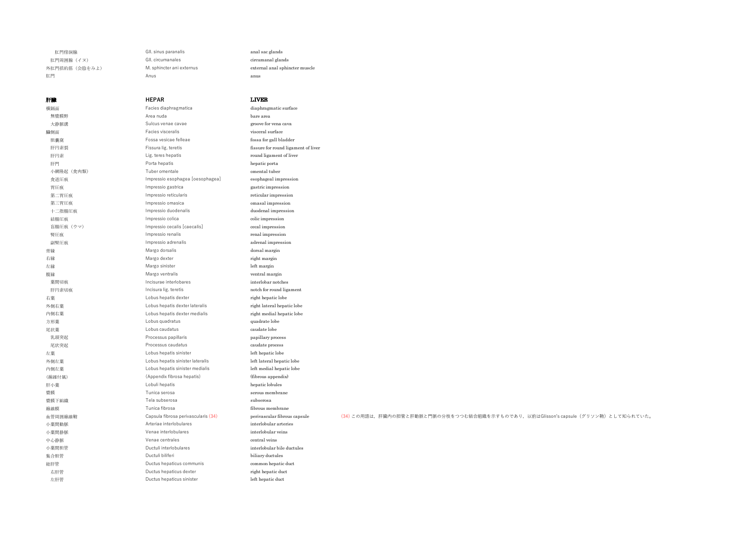肛門傍洞腺 Gll. sinus paranalis anal sac glands 肛門周囲腺(イヌ) Gll. circumanales circumanal glands 肛門 Anus anus

# 外肛門括約筋(会陰をみよ) M. sphincter ani externus external anal sphincter muscle

## 肝臓 **HEPAR** LIVER 横隔面 **Facies diaphragmatica** diaphragmatic surface 無漿膜野 Area nuda bare area 大静脈溝 **Sulcus venae cavae** groove for vena cava 臓側面 Facies visceralis visceral surface 胆囊窩 Fossa vesicae felleae for the management of the fossa for gall bladder 肝円索裂 **Fissura lig. teretis** fissure for round ligament of liver 肝円索 **Fille Community Fille Community** Lig. teres hepatis **round ligament of liver** 肝門 Porta hepatis hepatic porta 小網隆起 (食肉類) **Tuber omentale omental tuber** omental tuber 食道圧痕 Impressio esophagea [oesophagea] esophageal impression 胃圧痕 Impressio gastrica gastric impression 第二胃圧痕 **Impressio reticularis** reticular impression 第三胃圧痕 Impressio omasica omasal impression 十二指腸圧痕 **Impressio duodenalis** and the duodenal impression **結腸圧痕 ファイル Impressio colica** colic impression colic impression 盲腸圧痕(ウマ) Impressio cecalis [caecalis] cecal impression **腎圧痕 Impressio renalis** renal impression in the contract of the contract of the contract of the contract of the contract of the contract of the contract of the contract of the contract of the contract of the contract of 副腎圧痕 Impressio adrenalis adrenal impression 背縁 **Margo dorsalis the community of the community** dorsal margin 右縁 **Margo dexter** Margo dexter **right margin** 左縁 インコントランス Margo sinister インター・コントランス しゅうしょう しゅうしゅうしょう しゅうしょく しゅうしょく しゅうしょく こくしゃくん はんしゃ こくしゅうしょく こくしゅうしょく にほんしゃ しゅうしょく 腹縁 Margo ventralis ventral margin **葉間切痕 Contract Contract interlobares** interlobares interlobar notches **肝円索切痕 Incisura lig. teretis** notch for round ligament 右葉 Lobus hepatis dexter right hepatic lobe 外側右葉 インタン Lobus hepatis dexter lateralis right lateral hepatic lobe 内側右葉 Lobus hepatis dexter medialis right medial hepatic lobe 方形葉 Lobus quadratus quadrate lobe 尾状葉 **Example 2018** Lobus caudatus **caudate caudate lobe**  乳頭突起 Processus papillaris papillary process 尾状突起 Processus caudatus caudate process 左葉 Lobus hepatis sinister left hepatic lobe 外側左葉 インコントン Lobus hepatis sinister lateralis and the lateral hepatic lobe 内側左葉 Lobus hepatis sinister medialis left medial hepatic lobe (線維付属) (Appendix fibrosa hepatis) (fibrous appendix) 肝小葉 Lobuli hepatis hepatic lobules **漿膜 https://www.franceformaneus.com/2010/2010/2010/2010** Tunica serosa serous membraneus membraneus membraneus m 漿膜下組織 **the contract of the contract of the contract of the contract of the contract of the contract of the subserosa** 線維膜 **Funica fibrosa** fibrosa fibrows membrane fibrous membrane m管周囲線維鞘 Capsula fibrosa perivascularis (34) perivascular fibrous capsule (34) この用語は, 肝臓内の胆管と肝動脈と門脈の分枝をつつむ結合組織を示すものであり, 以前はGlisson's capsule (グリソン鞘)として知られていた。 小葉間動脈 Arteriae interlobulares interlobular arteries 小葉間静脈 Venae interlobulares interlobular veins 中心静脈 **central veins** Venae centrales **central veins** central veins 小葉間胆管 インタン Ductuli interlobulares インタン interlobular bile ductules 集合胆管 **Ductuli biliferi** biliferi biliary ductules 総肝管 Ductus hepaticus communis common hepatic duct 右肝管 **Example 2018** Ductus hepaticus dexter **right hepatic duct** right hepatic duct 左肝管 Ductus hepaticus sinister left hepatic duct